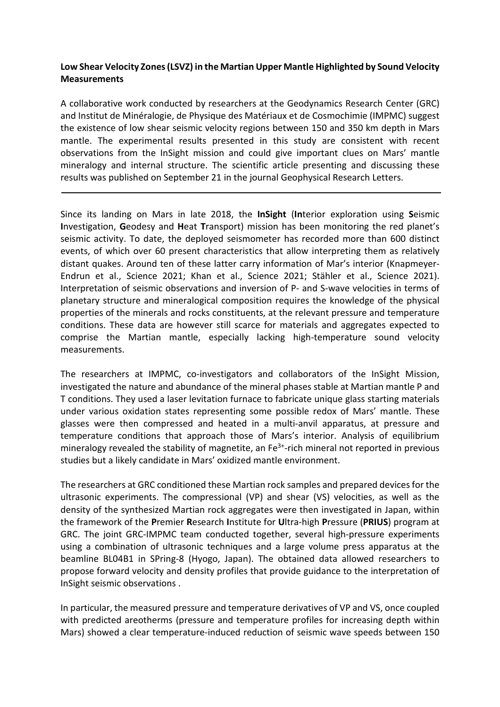## **Low Shear Velocity Zones(LSVZ) in the Martian Upper Mantle Highlighted by Sound Velocity Measurements**

A collaborative work conducted by researchers at the Geodynamics Research Center (GRC) and Institut de Minéralogie, de Physique des Matériaux et de Cosmochimie (IMPMC) suggest the existence of low shear seismic velocity regions between 150 and 350 km depth in Mars mantle. The experimental results presented in this study are consistent with recent observations from the InSight mission and could give important clues on Mars' mantle mineralogy and internal structure. The scientific article presenting and discussing these results was published on September 21 in the journal Geophysical Research Letters.

Since its landing on Mars in late 2018, the **InSight** (**In**terior exploration using **S**eismic **I**nvestigation, **G**eodesy and **H**eat **T**ransport) mission has been monitoring the red planet's seismic activity. To date, the deployed seismometer has recorded more than 600 distinct events, of which over 60 present characteristics that allow interpreting them as relatively distant quakes. Around ten of these latter carry information of Mar's interior (Knapmeyer-Endrun et al., Science 2021; Khan et al., Science 2021; Stähler et al., Science 2021). Interpretation of seismic observations and inversion of P- and S-wave velocities in terms of planetary structure and mineralogical composition requires the knowledge of the physical properties of the minerals and rocks constituents, at the relevant pressure and temperature conditions. These data are however still scarce for materials and aggregates expected to comprise the Martian mantle, especially lacking high-temperature sound velocity measurements.

The researchers at IMPMC, co-investigators and collaborators of the InSight Mission, investigated the nature and abundance of the mineral phases stable at Martian mantle P and T conditions. They used a laser levitation furnace to fabricate unique glass starting materials under various oxidation states representing some possible redox of Mars' mantle. These glasses were then compressed and heated in a multi-anvil apparatus, at pressure and temperature conditions that approach those of Mars's interior. Analysis of equilibrium mineralogy revealed the stability of magnetite, an  $Fe<sup>3+</sup>$ -rich mineral not reported in previous studies but a likely candidate in Mars' oxidized mantle environment.

The researchers at GRC conditioned these Martian rock samples and prepared devices for the ultrasonic experiments. The compressional (VP) and shear (VS) velocities, as well as the density of the synthesized Martian rock aggregates were then investigated in Japan, within the framework of the **P**remier **R**esearch **I**nstitute for **U**ltra-high **P**ressure (**PRIUS**) program at GRC. The joint GRC-IMPMC team conducted together, several high-pressure experiments using a combination of ultrasonic techniques and a large volume press apparatus at the beamline BL04B1 in SPring-8 (Hyogo, Japan). The obtained data allowed researchers to propose forward velocity and density profiles that provide guidance to the interpretation of InSight seismic observations .

In particular, the measured pressure and temperature derivatives of VP and VS, once coupled with predicted areotherms (pressure and temperature profiles for increasing depth within Mars) showed a clear temperature-induced reduction of seismic wave speeds between 150